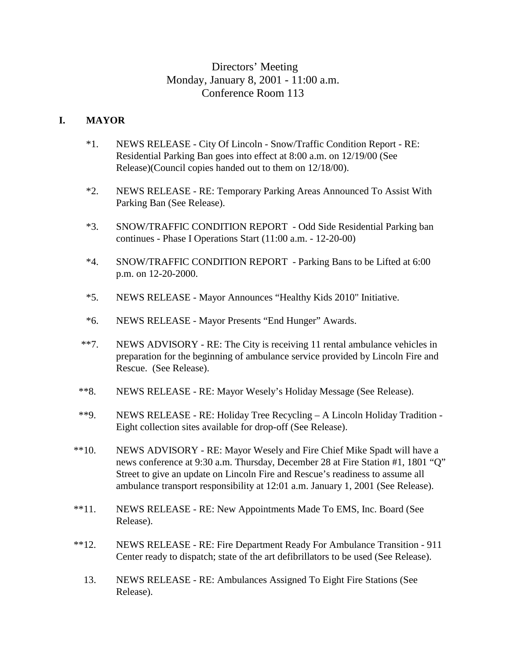# Directors' Meeting Monday, January 8, 2001 - 11:00 a.m. Conference Room 113

#### **I. MAYOR**

- \*1. NEWS RELEASE City Of Lincoln Snow/Traffic Condition Report RE: Residential Parking Ban goes into effect at 8:00 a.m. on 12/19/00 (See Release)(Council copies handed out to them on 12/18/00).
- \*2. NEWS RELEASE RE: Temporary Parking Areas Announced To Assist With Parking Ban (See Release).
- \*3. SNOW/TRAFFIC CONDITION REPORT Odd Side Residential Parking ban continues - Phase I Operations Start (11:00 a.m. - 12-20-00)
- \*4. SNOW/TRAFFIC CONDITION REPORT Parking Bans to be Lifted at 6:00 p.m. on 12-20-2000.
- \*5. NEWS RELEASE Mayor Announces "Healthy Kids 2010" Initiative.
- \*6. NEWS RELEASE Mayor Presents "End Hunger" Awards.
- \*\*7. NEWS ADVISORY RE: The City is receiving 11 rental ambulance vehicles in preparation for the beginning of ambulance service provided by Lincoln Fire and Rescue. (See Release).
- \*\*8. NEWS RELEASE RE: Mayor Wesely's Holiday Message (See Release).
- \*\*9. NEWS RELEASE RE: Holiday Tree Recycling A Lincoln Holiday Tradition Eight collection sites available for drop-off (See Release).
- \*\*10. NEWS ADVISORY RE: Mayor Wesely and Fire Chief Mike Spadt will have a news conference at 9:30 a.m. Thursday, December 28 at Fire Station #1, 1801 "Q" Street to give an update on Lincoln Fire and Rescue's readiness to assume all ambulance transport responsibility at 12:01 a.m. January 1, 2001 (See Release).
- \*\*11. NEWS RELEASE RE: New Appointments Made To EMS, Inc. Board (See Release).
- \*\*12. NEWS RELEASE RE: Fire Department Ready For Ambulance Transition 911 Center ready to dispatch; state of the art defibrillators to be used (See Release).
	- 13. NEWS RELEASE RE: Ambulances Assigned To Eight Fire Stations (See Release).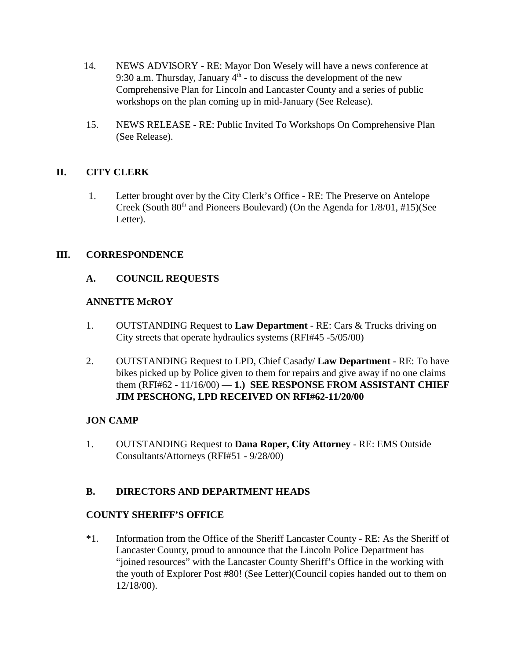- 14. NEWS ADVISORY RE: Mayor Don Wesely will have a news conference at 9:30 a.m. Thursday, January  $4<sup>th</sup>$  - to discuss the development of the new Comprehensive Plan for Lincoln and Lancaster County and a series of public workshops on the plan coming up in mid-January (See Release).
- 15. NEWS RELEASE RE: Public Invited To Workshops On Comprehensive Plan (See Release).

## **II. CITY CLERK**

 1. Letter brought over by the City Clerk's Office - RE: The Preserve on Antelope Creek (South  $80<sup>th</sup>$  and Pioneers Boulevard) (On the Agenda for  $1/8/01$ , #15)(See Letter).

## **III. CORRESPONDENCE**

## **A. COUNCIL REQUESTS**

### **ANNETTE McROY**

- 1. OUTSTANDING Request to **Law Department** RE: Cars & Trucks driving on City streets that operate hydraulics systems (RFI#45 -5/05/00)
- 2. OUTSTANDING Request to LPD, Chief Casady/ **Law Department** RE: To have bikes picked up by Police given to them for repairs and give away if no one claims them (RFI#62 - 11/16/00) — **1.) SEE RESPONSE FROM ASSISTANT CHIEF JIM PESCHONG, LPD RECEIVED ON RFI#62-11/20/00**

#### **JON CAMP**

1. OUTSTANDING Request to **Dana Roper, City Attorney** - RE: EMS Outside Consultants/Attorneys (RFI#51 - 9/28/00)

## **B. DIRECTORS AND DEPARTMENT HEADS**

#### **COUNTY SHERIFF'S OFFICE**

\*1. Information from the Office of the Sheriff Lancaster County - RE: As the Sheriff of Lancaster County, proud to announce that the Lincoln Police Department has "joined resources" with the Lancaster County Sheriff's Office in the working with the youth of Explorer Post #80! (See Letter)(Council copies handed out to them on 12/18/00).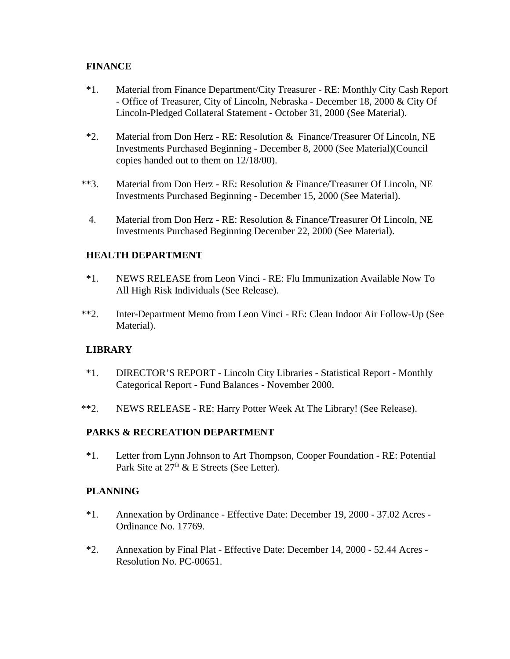#### **FINANCE**

- \*1. Material from Finance Department/City Treasurer RE: Monthly City Cash Report - Office of Treasurer, City of Lincoln, Nebraska - December 18, 2000 & City Of Lincoln-Pledged Collateral Statement - October 31, 2000 (See Material).
- \*2. Material from Don Herz RE: Resolution & Finance/Treasurer Of Lincoln, NE Investments Purchased Beginning - December 8, 2000 (See Material)(Council copies handed out to them on 12/18/00).
- \*\*3. Material from Don Herz RE: Resolution & Finance/Treasurer Of Lincoln, NE Investments Purchased Beginning - December 15, 2000 (See Material).
	- 4. Material from Don Herz RE: Resolution & Finance/Treasurer Of Lincoln, NE Investments Purchased Beginning December 22, 2000 (See Material).

#### **HEALTH DEPARTMENT**

- \*1. NEWS RELEASE from Leon Vinci RE: Flu Immunization Available Now To All High Risk Individuals (See Release).
- \*\*2. Inter-Department Memo from Leon Vinci RE: Clean Indoor Air Follow-Up (See Material).

#### **LIBRARY**

- \*1. DIRECTOR'S REPORT Lincoln City Libraries Statistical Report Monthly Categorical Report - Fund Balances - November 2000.
- \*\*2. NEWS RELEASE RE: Harry Potter Week At The Library! (See Release).

#### **PARKS & RECREATION DEPARTMENT**

\*1. Letter from Lynn Johnson to Art Thompson, Cooper Foundation - RE: Potential Park Site at 27<sup>th</sup> & E Streets (See Letter).

#### **PLANNING**

- \*1. Annexation by Ordinance Effective Date: December 19, 2000 37.02 Acres Ordinance No. 17769.
- \*2. Annexation by Final Plat Effective Date: December 14, 2000 52.44 Acres Resolution No. PC-00651.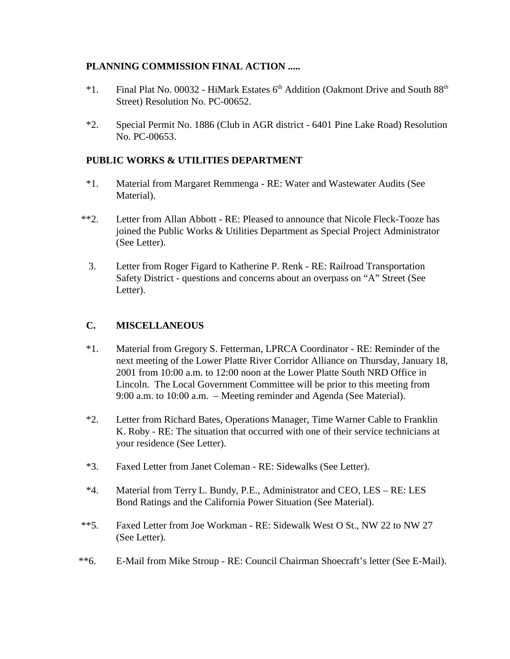#### **PLANNING COMMISSION FINAL ACTION .....**

- $*1.$  Final Plat No. 00032 HiMark Estates 6<sup>th</sup> Addition (Oakmont Drive and South 88<sup>th</sup> Street) Resolution No. PC-00652.
- \*2. Special Permit No. 1886 (Club in AGR district 6401 Pine Lake Road) Resolution No. PC-00653.

### **PUBLIC WORKS & UTILITIES DEPARTMENT**

- \*1. Material from Margaret Remmenga RE: Water and Wastewater Audits (See Material).
- \*\*2. Letter from Allan Abbott RE: Pleased to announce that Nicole Fleck-Tooze has joined the Public Works & Utilities Department as Special Project Administrator (See Letter).
	- 3. Letter from Roger Figard to Katherine P. Renk RE: Railroad Transportation Safety District - questions and concerns about an overpass on "A" Street (See Letter).

#### **C. MISCELLANEOUS**

- \*1. Material from Gregory S. Fetterman, LPRCA Coordinator RE: Reminder of the next meeting of the Lower Platte River Corridor Alliance on Thursday, January 18, 2001 from 10:00 a.m. to 12:00 noon at the Lower Platte South NRD Office in Lincoln. The Local Government Committee will be prior to this meeting from 9:00 a.m. to 10:00 a.m. – Meeting reminder and Agenda (See Material).
- \*2. Letter from Richard Bates, Operations Manager, Time Warner Cable to Franklin K. Roby - RE: The situation that occurred with one of their service technicians at your residence (See Letter).
- \*3. Faxed Letter from Janet Coleman RE: Sidewalks (See Letter).
- \*4. Material from Terry L. Bundy, P.E., Administrator and CEO, LES RE: LES Bond Ratings and the California Power Situation (See Material).
- \*\*5. Faxed Letter from Joe Workman RE: Sidewalk West O St., NW 22 to NW 27 (See Letter).
- \*\*6. E-Mail from Mike Stroup RE: Council Chairman Shoecraft's letter (See E-Mail).